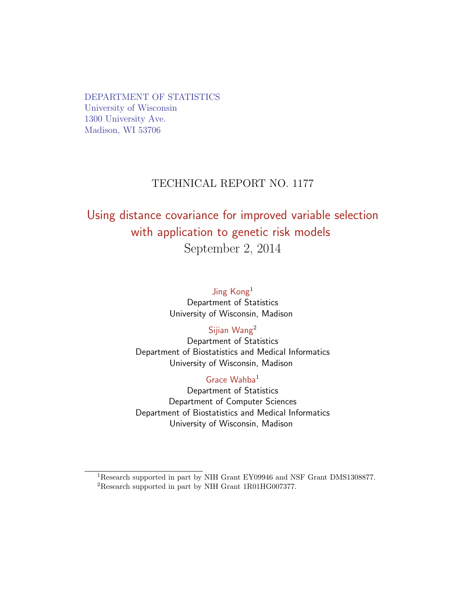DEPARTMENT OF STATISTICS University of Wisconsin 1300 University Ave. Madison, WI 53706

# TECHNICAL REPORT NO. 1177

# Using distance covariance for improved variable selection with application to genetic risk models September 2, 2014

Jing Kong<sup>1</sup> Department of Statistics University of Wisconsin, Madison

## Sijian Wang<sup>2</sup>

Department of Statistics Department of Biostatistics and Medical Informatics University of Wisconsin, Madison

### Grace Wahba<sup>1</sup>

Department of Statistics Department of Computer Sciences Department of Biostatistics and Medical Informatics University of Wisconsin, Madison

<sup>1</sup>Research supported in part by NIH Grant EY09946 and NSF Grant DMS1308877.

<sup>2</sup>Research supported in part by NIH Grant 1R01HG007377.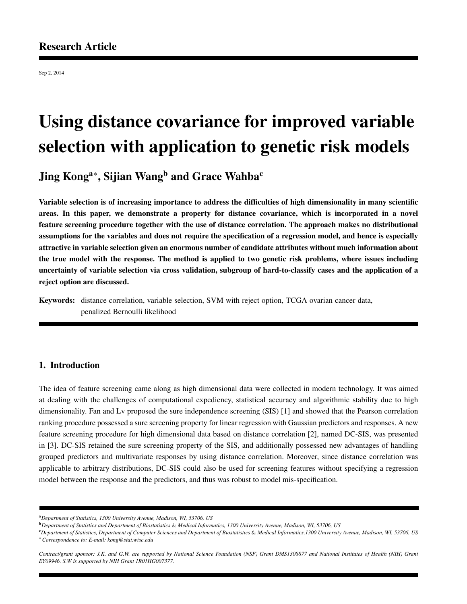Sep 2, 2014

# Using distance covariance for improved variable selection with application to genetic risk models

Jing Kong $^{\rm a*}$ , Sijian Wang $^{\rm b}$  and Grace Wahba $^{\rm c}$ 

Variable selection is of increasing importance to address the difficulties of high dimensionality in many scientific areas. In this paper, we demonstrate a property for distance covariance, which is incorporated in a novel feature screening procedure together with the use of distance correlation. The approach makes no distributional assumptions for the variables and does not require the specification of a regression model, and hence is especially attractive in variable selection given an enormous number of candidate attributes without much information about the true model with the response. The method is applied to two genetic risk problems, where issues including uncertainty of variable selection via cross validation, subgroup of hard-to-classify cases and the application of a reject option are discussed.

Keywords: distance correlation, variable selection, SVM with reject option, TCGA ovarian cancer data, penalized Bernoulli likelihood

#### 1. Introduction

The idea of feature screening came along as high dimensional data were collected in modern technology. It was aimed at dealing with the challenges of computational expediency, statistical accuracy and algorithmic stability due to high dimensionality. Fan and Lv proposed the sure independence screening (SIS) [1] and showed that the Pearson correlation ranking procedure possessed a sure screening property for linear regression with Gaussian predictors and responses. A new feature screening procedure for high dimensional data based on distance correlation [2], named DC-SIS, was presented in [3]. DC-SIS retained the sure screening property of the SIS, and additionally possessed new advantages of handling grouped predictors and multivariate responses by using distance correlation. Moreover, since distance correlation was applicable to arbitrary distributions, DC-SIS could also be used for screening features without specifying a regression model between the response and the predictors, and thus was robust to model mis-specification.

*Contract/grant sponsor: J.K. and G.W. are supported by National Science Foundation (NSF) Grant DMS1308877 and National Institutes of Health (NIH) Grant EY09946. S.W is supported by NIH Grant 1R01HG007377.*

<sup>a</sup>*Department of Statistics, 1300 University Avenue, Madison, WI, 53706, US*

<sup>b</sup>*Department of Statistics and Department of Biostatistics* & *Medical Informatics, 1300 University Avenue, Madison, WI, 53706, US*

<sup>c</sup>*Department of Statistics, Department of Computer Sciences and Department of Biostatistics* & *Medical Informatics,1300 University Avenue, Madison, WI, 53706, US* <sup>∗</sup>*Correspondence to: E-mail: kong@stat.wisc.edu*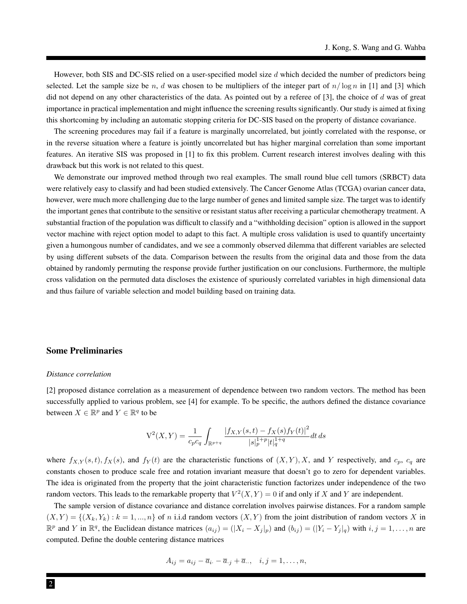However, both SIS and DC-SIS relied on a user-specified model size  $d$  which decided the number of predictors being selected. Let the sample size be n, d was chosen to be multipliers of the integer part of  $n/\log n$  in [1] and [3] which did not depend on any other characteristics of the data. As pointed out by a referee of  $[3]$ , the choice of d was of great importance in practical implementation and might influence the screening results significantly. Our study is aimed at fixing this shortcoming by including an automatic stopping criteria for DC-SIS based on the property of distance covariance.

The screening procedures may fail if a feature is marginally uncorrelated, but jointly correlated with the response, or in the reverse situation where a feature is jointly uncorrelated but has higher marginal correlation than some important features. An iterative SIS was proposed in [1] to fix this problem. Current research interest involves dealing with this drawback but this work is not related to this quest.

We demonstrate our improved method through two real examples. The small round blue cell tumors (SRBCT) data were relatively easy to classify and had been studied extensively. The Cancer Genome Atlas (TCGA) ovarian cancer data, however, were much more challenging due to the large number of genes and limited sample size. The target was to identify the important genes that contribute to the sensitive or resistant status after receiving a particular chemotherapy treatment. A substantial fraction of the population was difficult to classify and a "withholding decision" option is allowed in the support vector machine with reject option model to adapt to this fact. A multiple cross validation is used to quantify uncertainty given a humongous number of candidates, and we see a commonly observed dilemma that different variables are selected by using different subsets of the data. Comparison between the results from the original data and those from the data obtained by randomly permuting the response provide further justification on our conclusions. Furthermore, the multiple cross validation on the permuted data discloses the existence of spuriously correlated variables in high dimensional data and thus failure of variable selection and model building based on training data.

#### Some Preliminaries

#### *Distance correlation*

[2] proposed distance correlation as a measurement of dependence between two random vectors. The method has been successfully applied to various problem, see [4] for example. To be specific, the authors defined the distance covariance between  $X \in \mathbb{R}^p$  and  $Y \in \mathbb{R}^q$  to be

$$
V^{2}(X,Y) = \frac{1}{c_{p}c_{q}} \int_{\mathbb{R}^{p+q}} \frac{|f_{X,Y}(s,t) - f_{X}(s)f_{Y}(t)|^{2}}{|s|_{p}^{1+p}|t|_{q}^{1+q}} dt ds
$$

where  $f_{X,Y}(s,t)$ ,  $f_X(s)$ , and  $f_Y(t)$  are the characteristic functions of  $(X,Y)$ , X, and Y respectively, and  $c_p$ ,  $c_q$  are constants chosen to produce scale free and rotation invariant measure that doesn't go to zero for dependent variables. The idea is originated from the property that the joint characteristic function factorizes under independence of the two random vectors. This leads to the remarkable property that  $V^2(X, Y) = 0$  if and only if X and Y are independent.

The sample version of distance covariance and distance correlation involves pairwise distances. For a random sample  $(X, Y) = \{(X_k, Y_k) : k = 1, ..., n\}$  of n i.i.d random vectors  $(X, Y)$  from the joint distribution of random vectors X in  $\mathbb{R}^p$  and Y in  $\mathbb{R}^q$ , the Euclidean distance matrices  $(a_{ij}) = (|X_i - X_j|_p)$  and  $(b_{ij}) = (|Y_i - Y_j|_q)$  with  $i, j = 1, ..., n$  are computed. Define the double centering distance matrices

$$
A_{ij} = a_{ij} - \overline{a}_{i} - \overline{a}_{.j} + \overline{a}_{..}, \quad i, j = 1, \dots, n,
$$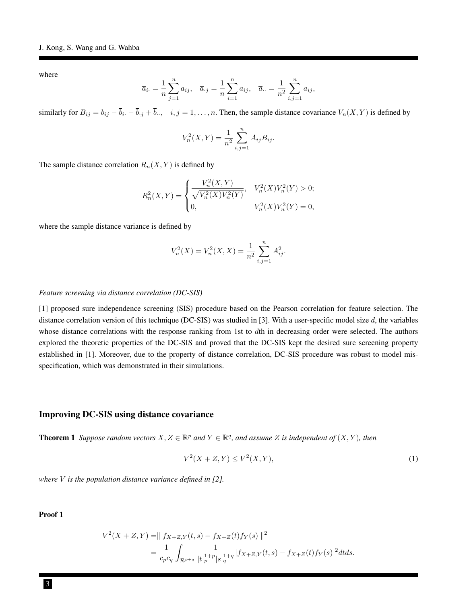where

$$
\overline{a}_{i \cdot} = \frac{1}{n} \sum_{j=1}^{n} a_{ij}, \quad \overline{a}_{\cdot j} = \frac{1}{n} \sum_{i=1}^{n} a_{ij}, \quad \overline{a}_{\cdot \cdot} = \frac{1}{n^2} \sum_{i,j=1}^{n} a_{ij},
$$

similarly for  $B_{ij} = b_{ij} - \overline{b}_{i} - \overline{b}_{i} + \overline{b}_{i}$ ,  $i, j = 1, ..., n$ . Then, the sample distance covariance  $V_n(X, Y)$  is defined by

$$
V_n^2(X,Y) = \frac{1}{n^2} \sum_{i,j=1}^n A_{ij} B_{ij}.
$$

The sample distance correlation  $R_n(X, Y)$  is defined by

$$
R_n^2(X,Y) = \begin{cases} \frac{V_n^2(X,Y)}{\sqrt{V_n^2(X)V_n^2(Y)}}, & V_n^2(X)V_n^2(Y) > 0; \\ 0, & V_n^2(X)V_n^2(Y) = 0, \end{cases}
$$

where the sample distance variance is defined by

$$
V_n^2(X) = V_n^2(X, X) = \frac{1}{n^2} \sum_{i,j=1}^n A_{ij}^2.
$$

#### *Feature screening via distance correlation (DC-SIS)*

[1] proposed sure independence screening (SIS) procedure based on the Pearson correlation for feature selection. The distance correlation version of this technique (DC-SIS) was studied in [3]. With a user-specific model size  $d$ , the variables whose distance correlations with the response ranking from 1st to dth in decreasing order were selected. The authors explored the theoretic properties of the DC-SIS and proved that the DC-SIS kept the desired sure screening property established in [1]. Moreover, due to the property of distance correlation, DC-SIS procedure was robust to model misspecification, which was demonstrated in their simulations.

#### Improving DC-SIS using distance covariance

**Theorem 1** Suppose random vectors  $X, Z \in \mathbb{R}^p$  and  $Y \in \mathbb{R}^q$ , and assume Z is independent of  $(X, Y)$ , then

$$
V^2(X+Z,Y) \le V^2(X,Y),\tag{1}
$$

*where* V *is the population distance variance defined in [2].*

Proof 1

$$
V^{2}(X+Z,Y) = || f_{X+Z,Y}(t,s) - f_{X+Z}(t)f_{Y}(s) ||^{2}
$$
  
= 
$$
\frac{1}{c_{p}c_{q}} \int_{\mathcal{R}^{p+q}} \frac{1}{|t|_{p}^{1+p}|s|_{q}^{1+q}} |f_{X+Z,Y}(t,s) - f_{X+Z}(t)f_{Y}(s)|^{2} dt ds.
$$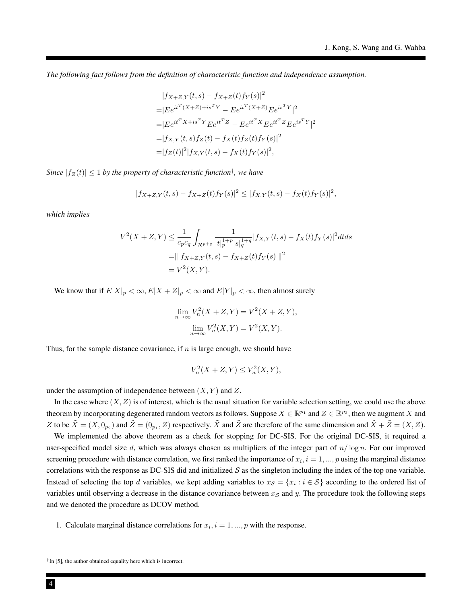*The following fact follows from the definition of characteristic function and independence assumption.*

$$
|f_{X+Z,Y}(t,s) - f_{X+Z}(t)f_Y(s)|^2
$$
  
=| $Be^{it^T(X+Z)+is^TY} - Ee^{it^T(X+Z)}Ee^{is^TY}|^2$   
=| $Be^{it^TX+is^TY}Ee^{it^TZ} - Ee^{it^TX}Ee^{it^TZ}Ee^{is^TY}|^2$   
=| $f_{X,Y}(t,s)f_Z(t) - f_X(t)f_Z(t)f_Y(s)|^2$   
=| $f_Z(t)|^2|f_{X,Y}(t,s) - f_X(t)f_Y(s)|^2$ ,

 $Since$   $|f_Z(t)| \leq 1$  by the property of characteristic function<sup>†</sup>, we have

$$
|f_{X+Z,Y}(t,s) - f_{X+Z}(t)f_Y(s)|^2 \le |f_{X,Y}(t,s) - f_X(t)f_Y(s)|^2,
$$

*which implies*

$$
V^{2}(X+Z,Y) \leq \frac{1}{c_{p}c_{q}} \int_{\mathcal{R}^{p+q}} \frac{1}{|t|_{p}^{1+p}|s|_{q}^{1+q}} |f_{X,Y}(t,s) - f_{X}(t)f_{Y}(s)|^{2} dt ds
$$
  
\n
$$
= || f_{X+Z,Y}(t,s) - f_{X+Z}(t)f_{Y}(s) ||^{2}
$$
  
\n
$$
= V^{2}(X,Y).
$$

We know that if  $E|X|_p < \infty$ ,  $E|X + Z|_p < \infty$  and  $E|Y|_p < \infty$ , then almost surely

$$
\lim_{n \to \infty} V_n^2(X + Z, Y) = V^2(X + Z, Y),
$$
  

$$
\lim_{n \to \infty} V_n^2(X, Y) = V^2(X, Y).
$$

Thus, for the sample distance covariance, if  $n$  is large enough, we should have

 $V_n^2(X + Z, Y) \leq V_n^2(X, Y),$ 

under the assumption of independence between  $(X, Y)$  and Z.

In the case where  $(X, Z)$  is of interest, which is the usual situation for variable selection setting, we could use the above theorem by incorporating degenerated random vectors as follows. Suppose  $X \in \mathbb{R}^{p_1}$  and  $Z \in \mathbb{R}^{p_2}$ , then we augment X and Z to be  $\tilde{X} = (X, 0_{p_2})$  and  $\tilde{Z} = (0_{p_1}, Z)$  respectively.  $\tilde{X}$  and  $\tilde{Z}$  are therefore of the same dimension and  $\tilde{X} + \tilde{Z} = (X, Z)$ .

We implemented the above theorem as a check for stopping for DC-SIS. For the original DC-SIS, it required a user-specified model size d, which was always chosen as multipliers of the integer part of  $n/\log n$ . For our improved screening procedure with distance correlation, we first ranked the importance of  $x_i$ ,  $i = 1, ..., p$  using the marginal distance correlations with the response as DC-SIS did and initialized  $S$  as the singleton including the index of the top one variable. Instead of selecting the top d variables, we kept adding variables to  $x_{\mathcal{S}} = \{x_i : i \in \mathcal{S}\}\$ according to the ordered list of variables until observing a decrease in the distance covariance between  $x<sub>S</sub>$  and y. The procedure took the following steps and we denoted the procedure as DCOV method.

1. Calculate marginal distance correlations for  $x_i$ ,  $i = 1, ..., p$  with the response.

<sup>&</sup>lt;sup>†</sup> In [5], the author obtained equality here which is incorrect.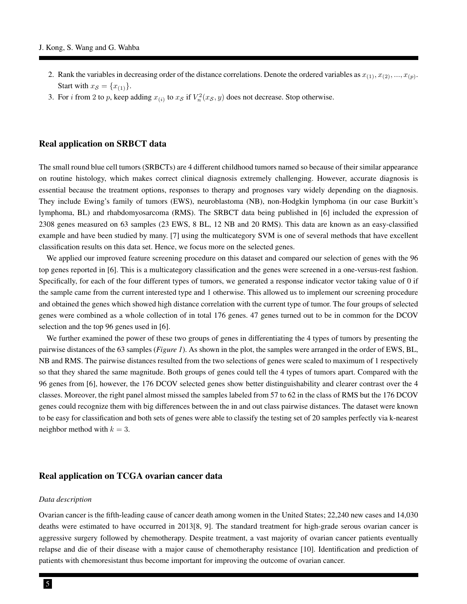- 2. Rank the variables in decreasing order of the distance correlations. Denote the ordered variables as  $x_{(1)}, x_{(2)}, ..., x_{(p)}$ . Start with  $x_{\mathcal{S}} = \{x_{(1)}\}.$
- 3. For *i* from 2 to *p*, keep adding  $x_{(i)}$  to  $x_{\mathcal{S}}$  if  $V_n^2(x_{\mathcal{S}}, y)$  does not decrease. Stop otherwise.

#### Real application on SRBCT data

The small round blue cell tumors (SRBCTs) are 4 different childhood tumors named so because of their similar appearance on routine histology, which makes correct clinical diagnosis extremely challenging. However, accurate diagnosis is essential because the treatment options, responses to therapy and prognoses vary widely depending on the diagnosis. They include Ewing's family of tumors (EWS), neuroblastoma (NB), non-Hodgkin lymphoma (in our case Burkitt's lymphoma, BL) and rhabdomyosarcoma (RMS). The SRBCT data being published in [6] included the expression of 2308 genes measured on 63 samples (23 EWS, 8 BL, 12 NB and 20 RMS). This data are known as an easy-classified example and have been studied by many. [7] using the multicategory SVM is one of several methods that have excellent classification results on this data set. Hence, we focus more on the selected genes.

We applied our improved feature screening procedure on this dataset and compared our selection of genes with the 96 top genes reported in [6]. This is a multicategory classification and the genes were screened in a one-versus-rest fashion. Specifically, for each of the four different types of tumors, we generated a response indicator vector taking value of 0 if the sample came from the current interested type and 1 otherwise. This allowed us to implement our screening procedure and obtained the genes which showed high distance correlation with the current type of tumor. The four groups of selected genes were combined as a whole collection of in total 176 genes. 47 genes turned out to be in common for the DCOV selection and the top 96 genes used in [6].

We further examined the power of these two groups of genes in differentiating the 4 types of tumors by presenting the pairwise distances of the 63 samples (*Figure 1*). As shown in the plot, the samples were arranged in the order of EWS, BL, NB and RMS. The pairwise distances resulted from the two selections of genes were scaled to maximum of 1 respectively so that they shared the same magnitude. Both groups of genes could tell the 4 types of tumors apart. Compared with the 96 genes from [6], however, the 176 DCOV selected genes show better distinguishability and clearer contrast over the 4 classes. Moreover, the right panel almost missed the samples labeled from 57 to 62 in the class of RMS but the 176 DCOV genes could recognize them with big differences between the in and out class pairwise distances. The dataset were known to be easy for classification and both sets of genes were able to classify the testing set of 20 samples perfectly via k-nearest neighbor method with  $k = 3$ .

#### Real application on TCGA ovarian cancer data

#### *Data description*

Ovarian cancer is the fifth-leading cause of cancer death among women in the United States; 22,240 new cases and 14,030 deaths were estimated to have occurred in 2013[8, 9]. The standard treatment for high-grade serous ovarian cancer is aggressive surgery followed by chemotherapy. Despite treatment, a vast majority of ovarian cancer patients eventually relapse and die of their disease with a major cause of chemotheraphy resistance [10]. Identification and prediction of patients with chemoresistant thus become important for improving the outcome of ovarian cancer.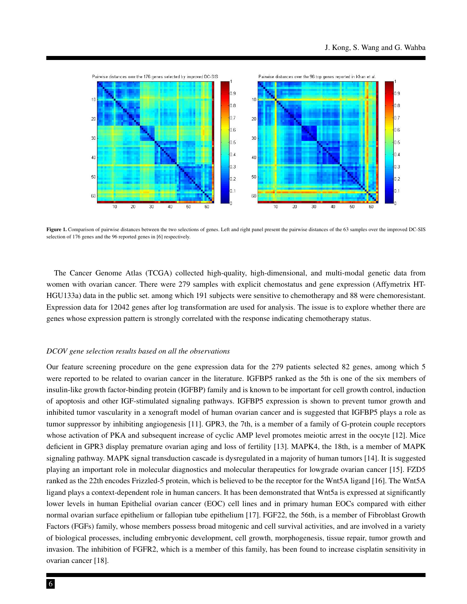

Figure 1. Comparison of pairwise distances between the two selections of genes. Left and right panel present the pairwise distances of the 63 samples over the improved DC-SIS selection of 176 genes and the 96 reported genes in [6] respectively.

The Cancer Genome Atlas (TCGA) collected high-quality, high-dimensional, and multi-modal genetic data from women with ovarian cancer. There were 279 samples with explicit chemostatus and gene expression (Affymetrix HT-HGU133a) data in the public set. among which 191 subjects were sensitive to chemotherapy and 88 were chemoresistant. Expression data for 12042 genes after log transformation are used for analysis. The issue is to explore whether there are genes whose expression pattern is strongly correlated with the response indicating chemotherapy status.

#### *DCOV gene selection results based on all the observations*

Our feature screening procedure on the gene expression data for the 279 patients selected 82 genes, among which 5 were reported to be related to ovarian cancer in the literature. IGFBP5 ranked as the 5th is one of the six members of insulin-like growth factor-binding protein (IGFBP) family and is known to be important for cell growth control, induction of apoptosis and other IGF-stimulated signaling pathways. IGFBP5 expression is shown to prevent tumor growth and inhibited tumor vascularity in a xenograft model of human ovarian cancer and is suggested that IGFBP5 plays a role as tumor suppressor by inhibiting angiogenesis [11]. GPR3, the 7th, is a member of a family of G-protein couple receptors whose activation of PKA and subsequent increase of cyclic AMP level promotes meiotic arrest in the oocyte [12]. Mice deficient in GPR3 display premature ovarian aging and loss of fertility [13]. MAPK4, the 18th, is a member of MAPK signaling pathway. MAPK signal transduction cascade is dysregulated in a majority of human tumors [14]. It is suggested playing an important role in molecular diagnostics and molecular therapeutics for lowgrade ovarian cancer [15]. FZD5 ranked as the 22th encodes Frizzled-5 protein, which is believed to be the receptor for the Wnt5A ligand [16]. The Wnt5A ligand plays a context-dependent role in human cancers. It has been demonstrated that Wnt5a is expressed at significantly lower levels in human Epithelial ovarian cancer (EOC) cell lines and in primary human EOCs compared with either normal ovarian surface epithelium or fallopian tube epithelium [17]. FGF22, the 56th, is a member of Fibroblast Growth Factors (FGFs) family, whose members possess broad mitogenic and cell survival activities, and are involved in a variety of biological processes, including embryonic development, cell growth, morphogenesis, tissue repair, tumor growth and invasion. The inhibition of FGFR2, which is a member of this family, has been found to increase cisplatin sensitivity in ovarian cancer [18].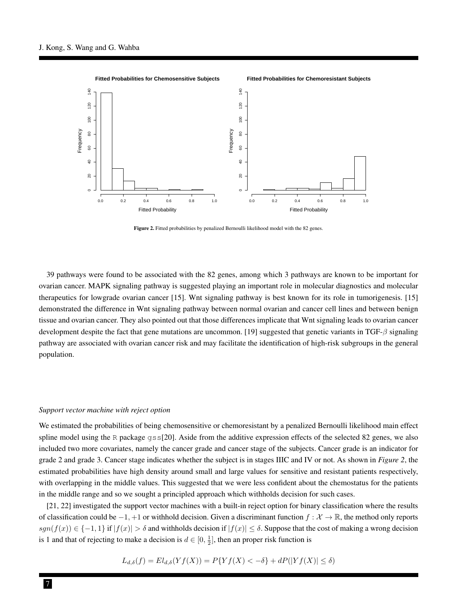

Figure 2. Fitted probabilities by penalized Bernoulli likelihood model with the 82 genes.

39 pathways were found to be associated with the 82 genes, among which 3 pathways are known to be important for ovarian cancer. MAPK signaling pathway is suggested playing an important role in molecular diagnostics and molecular therapeutics for lowgrade ovarian cancer [15]. Wnt signaling pathway is best known for its role in tumorigenesis. [15] demonstrated the difference in Wnt signaling pathway between normal ovarian and cancer cell lines and between benign tissue and ovarian cancer. They also pointed out that those differences implicate that Wnt signaling leads to ovarian cancer development despite the fact that gene mutations are uncommon. [19] suggested that genetic variants in TGF-β signaling pathway are associated with ovarian cancer risk and may facilitate the identification of high-risk subgroups in the general population.

#### *Support vector machine with reject option*

We estimated the probabilities of being chemosensitive or chemoresistant by a penalized Bernoulli likelihood main effect spline model using the R package  $qss[20]$ . Aside from the additive expression effects of the selected 82 genes, we also included two more covariates, namely the cancer grade and cancer stage of the subjects. Cancer grade is an indicator for grade 2 and grade 3. Cancer stage indicates whether the subject is in stages IIIC and IV or not. As shown in *Figure 2*, the estimated probabilities have high density around small and large values for sensitive and resistant patients respectively, with overlapping in the middle values. This suggested that we were less confident about the chemostatus for the patients in the middle range and so we sought a principled approach which withholds decision for such cases.

[21, 22] investigated the support vector machines with a built-in reject option for binary classification where the results of classification could be  $-1$ , +1 or withhold decision. Given a discriminant function  $f: \mathcal{X} \to \mathbb{R}$ , the method only reports  $sgn(f(x)) \in \{-1,1\}$  if  $|f(x)| > \delta$  and withholds decision if  $|f(x)| \leq \delta$ . Suppose that the cost of making a wrong decision is 1 and that of rejecting to make a decision is  $d \in [0, \frac{1}{2}]$ , then an proper risk function is

$$
L_{d,\delta}(f) = El_{d,\delta}(Yf(X)) = P\{Yf(X) < -\delta\} + dP(|Yf(X)| \le \delta)
$$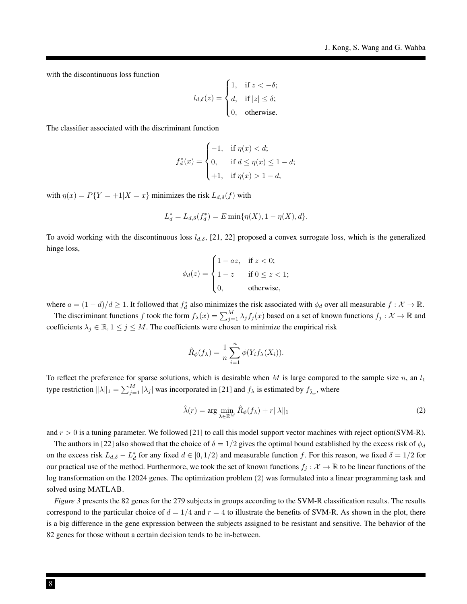with the discontinuous loss function

$$
l_{d,\delta}(z) = \begin{cases} 1, & \text{if } z < -\delta; \\ d, & \text{if } |z| \le \delta; \\ 0, & \text{otherwise.} \end{cases}
$$

The classifier associated with the discriminant function

$$
f_d^*(x) = \begin{cases} -1, & \text{if } \eta(x) < d; \\ 0, & \text{if } d \le \eta(x) \le 1 - d; \\ +1, & \text{if } \eta(x) > 1 - d, \end{cases}
$$

with  $\eta(x) = P\{Y = +1 | X = x\}$  minimizes the risk  $L_{d,\delta}(f)$  with

$$
L_d^* = L_{d,\delta}(f_d^*) = E \min{\{\eta(X), 1 - \eta(X), d\}}.
$$

To avoid working with the discontinuous loss  $l_{d,\delta}$ , [21, 22] proposed a convex surrogate loss, which is the generalized hinge loss,

$$
\phi_d(z) = \begin{cases} 1 - az, & \text{if } z < 0; \\ 1 - z & \text{if } 0 \le z < 1; \\ 0, & \text{otherwise,} \end{cases}
$$

where  $a = (1 - d)/d \ge 1$ . It followed that  $f_d^*$  also minimizes the risk associated with  $\phi_d$  over all measurable  $f : \mathcal{X} \to \mathbb{R}$ .

The discriminant functions f took the form  $f_{\lambda}(x) = \sum_{j=1}^{M} \lambda_j f_j(x)$  based on a set of known functions  $f_j : \mathcal{X} \to \mathbb{R}$  and coefficients  $\lambda_j \in \mathbb{R}, 1 \leq j \leq M$ . The coefficients were chosen to minimize the empirical risk

$$
\hat{R}_{\phi}(f_{\lambda}) = \frac{1}{n} \sum_{i=1}^{n} \phi(Y_i f_{\lambda}(X_i)).
$$

To reflect the preference for sparse solutions, which is desirable when M is large compared to the sample size n, an  $l_1$ type restriction  $\|\lambda\|_1 = \sum_{j=1}^M |\lambda_j|$  was incorporated in [21] and  $f_\lambda$  is estimated by  $f_{\hat{\lambda}_r}$ , where

$$
\hat{\lambda}(r) = \arg\min_{\lambda \in \mathbb{R}^M} \hat{R}_{\phi}(f_{\lambda}) + r||\lambda||_1
$$
\n(2)

and  $r > 0$  is a tuning parameter. We followed [21] to call this model support vector machines with reject option(SVM-R).

The authors in [22] also showed that the choice of  $\delta = 1/2$  gives the optimal bound established by the excess risk of  $\phi_d$ on the excess risk  $L_{d,\delta} - L_d^*$  for any fixed  $d \in [0, 1/2)$  and measurable function f. For this reason, we fixed  $\delta = 1/2$  for our practical use of the method. Furthermore, we took the set of known functions  $f_i : \mathcal{X} \to \mathbb{R}$  to be linear functions of the log transformation on the 12024 genes. The optimization problem (2) was formulated into a linear programming task and solved using MATLAB.

*Figure 3* presents the 82 genes for the 279 subjects in groups according to the SVM-R classification results. The results correspond to the particular choice of  $d = 1/4$  and  $r = 4$  to illustrate the benefits of SVM-R. As shown in the plot, there is a big difference in the gene expression between the subjects assigned to be resistant and sensitive. The behavior of the 82 genes for those without a certain decision tends to be in-between.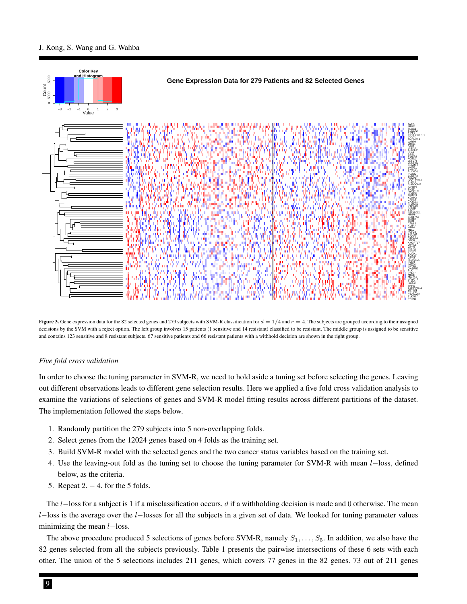#### J. Kong, S. Wang and G. Wahba



Figure 3. Gene expression data for the 82 selected genes and 279 subjects with SVM-R classification for  $d = 1/4$  and  $r = 4$ . The subjects are grouped according to their assigned decisions by the SVM with a reject option. The left group involves 15 patients (1 sensitive and 14 resistant) classified to be resistant. The middle group is assigned to be sensitive and contains 123 sensitive and 8 resistant subjects. 67 sensitive patients and 66 resistant patients with a withhold decision are shown in the right group.

#### *Five fold cross validation*

In order to choose the tuning parameter in SVM-R, we need to hold aside a tuning set before selecting the genes. Leaving out different observations leads to different gene selection results. Here we applied a five fold cross validation analysis to examine the variations of selections of genes and SVM-R model fitting results across different partitions of the dataset. The implementation followed the steps below.

- 1. Randomly partition the 279 subjects into 5 non-overlapping folds.
- 2. Select genes from the 12024 genes based on 4 folds as the training set.
- 3. Build SVM-R model with the selected genes and the two cancer status variables based on the training set.
- 4. Use the leaving-out fold as the tuning set to choose the tuning parameter for SVM-R with mean l−loss, defined below, as the criteria.
- 5. Repeat 2. − 4. for the 5 folds.

The  $l$ -loss for a subject is 1 if a misclassification occurs, d if a withholding decision is made and 0 otherwise. The mean l−loss is the average over the l−losses for all the subjects in a given set of data. We looked for tuning parameter values minimizing the mean *l*−loss.

The above procedure produced 5 selections of genes before SVM-R, namely  $S_1, \ldots, S_5$ . In addition, we also have the 82 genes selected from all the subjects previously. Table 1 presents the pairwise intersections of these 6 sets with each other. The union of the 5 selections includes 211 genes, which covers 77 genes in the 82 genes. 73 out of 211 genes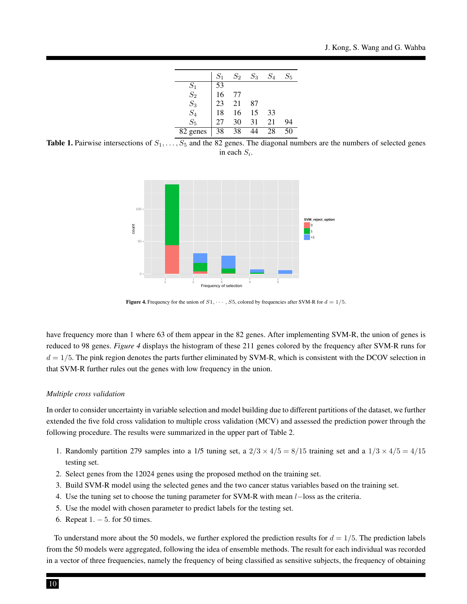|                | $S_1$ | $S_2$ | $S_3$ | $S_4$ | $S_5$ |
|----------------|-------|-------|-------|-------|-------|
|                | 53    |       |       |       |       |
| $S_1$<br>$S_2$ | 16    | 77    |       |       |       |
| $S_3$          | 23    | 21    | 87    |       |       |
| $S_4$          | 18    | 16    | 15    | 33    |       |
| $S_{5}$        | 27    | 30    | 31    | 21    | 94    |
| 82 genes       | 38    | 38    |       | 28    | 50    |

Table 1. Pairwise intersections of  $S_1, \ldots, S_5$  and the 82 genes. The diagonal numbers are the numbers of selected genes in each  $S_i$ .



Figure 4. Frequency for the union of  $S1, \cdots, S5$ , colored by frequencies after SVM-R for  $d = 1/5$ .

have frequency more than 1 where 63 of them appear in the 82 genes. After implementing SVM-R, the union of genes is reduced to 98 genes. *Figure 4* displays the histogram of these 211 genes colored by the frequency after SVM-R runs for  $d = 1/5$ . The pink region denotes the parts further eliminated by SVM-R, which is consistent with the DCOV selection in that SVM-R further rules out the genes with low frequency in the union.

#### *Multiple cross validation*

In order to consider uncertainty in variable selection and model building due to different partitions of the dataset, we further extended the five fold cross validation to multiple cross validation (MCV) and assessed the prediction power through the following procedure. The results were summarized in the upper part of Table 2.

- 1. Randomly partition 279 samples into a 1/5 tuning set, a  $2/3 \times 4/5 = 8/15$  training set and a  $1/3 \times 4/5 = 4/15$ testing set.
- 2. Select genes from the 12024 genes using the proposed method on the training set.
- 3. Build SVM-R model using the selected genes and the two cancer status variables based on the training set.
- 4. Use the tuning set to choose the tuning parameter for SVM-R with mean l−loss as the criteria.
- 5. Use the model with chosen parameter to predict labels for the testing set.
- 6. Repeat 1. − 5. for 50 times.

To understand more about the 50 models, we further explored the prediction results for  $d = 1/5$ . The prediction labels from the 50 models were aggregated, following the idea of ensemble methods. The result for each individual was recorded in a vector of three frequencies, namely the frequency of being classified as sensitive subjects, the frequency of obtaining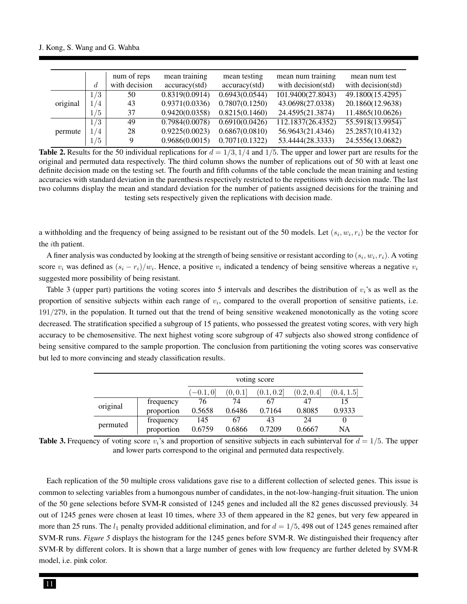|          |     | num of reps   | mean training  | mean testing   | mean num training  | mean num test      |
|----------|-----|---------------|----------------|----------------|--------------------|--------------------|
|          | d   | with decision | accuracy(std)  | accuracy(std)  | with decision(std) | with decision(std) |
|          | 1/3 | 50            | 0.8319(0.0914) | 0.6943(0.0544) | 101.9400(27.8043)  | 49.1800(15.4295)   |
| original | 1/4 | 43            | 0.9371(0.0336) | 0.7807(0.1250) | 43.0698(27.0338)   | 20.1860(12.9638)   |
|          | 1/5 | 37            | 0.9420(0.0358) | 0.8215(0.1460) | 24.4595(21.3874)   | 11.4865(10.0626)   |
|          | 1/3 | 49            | 0.7984(0.0078) | 0.6910(0.0426) | 112.1837(26.4352)  | 55.5918(13.9954)   |
| permute  | 1/4 | 28            | 0.9225(0.0023) | 0.6867(0.0810) | 56.9643(21.4346)   | 25.2857(10.4132)   |
|          | 1/5 | Q             | 0.9686(0.0015) | 0.7071(0.1322) | 53.4444(28.3333)   | 24.5556(13.0682)   |

**Table 2.** Results for the 50 individual replications for  $d = 1/3$ ,  $1/4$  and  $1/5$ . The upper and lower part are results for the original and permuted data respectively. The third column shows the number of replications out of 50 with at least one definite decision made on the testing set. The fourth and fifth columns of the table conclude the mean training and testing accuracies with standard deviation in the parenthesis respectively restricted to the repetitions with decision made. The last two columns display the mean and standard deviation for the number of patients assigned decisions for the training and testing sets respectively given the replications with decision made.

a withholding and the frequency of being assigned to be resistant out of the 50 models. Let  $(s_i, w_i, r_i)$  be the vector for the ith patient.

A finer analysis was conducted by looking at the strength of being sensitive or resistant according to  $(s_i, w_i, r_i)$ . A voting score  $v_i$  was defined as  $(s_i - r_i)/w_i$ . Hence, a positive  $v_i$  indicated a tendency of being sensitive whereas a negative  $v_i$ suggested more possibility of being resistant.

Table 3 (upper part) partitions the voting scores into 5 intervals and describes the distribution of  $v_i$ 's as well as the proportion of sensitive subjects within each range of  $v_i$ , compared to the overall proportion of sensitive patients, i.e. 191/279, in the population. It turned out that the trend of being sensitive weakened monotonically as the voting score decreased. The stratification specified a subgroup of 15 patients, who possessed the greatest voting scores, with very high accuracy to be chemosensitive. The next highest voting score subgroup of 47 subjects also showed strong confidence of being sensitive compared to the sample proportion. The conclusion from partitioning the voting scores was conservative but led to more convincing and steady classification results.

|          |            | voting score |          |            |            |            |
|----------|------------|--------------|----------|------------|------------|------------|
|          |            | $[-0.1, 0]$  | (0, 0.1] | (0.1, 0.2] | (0.2, 0.4] | (0.4, 1.5] |
| original | frequency  | 76           | 74       | 67         | 47         |            |
|          | proportion | 0.5658       | 0.6486   | 0.7164     | 0.8085     | 0.9333     |
| permuted | frequency  | 145          | 67       | 43         | 24         |            |
|          | proportion | 0.6759       | 0.6866   | 0.7209     | 0.6667     | NA         |

**Table 3.** Frequency of voting score  $v_i$ 's and proportion of sensitive subjects in each subinterval for  $d = 1/5$ . The upper and lower parts correspond to the original and permuted data respectively.

Each replication of the 50 multiple cross validations gave rise to a different collection of selected genes. This issue is common to selecting variables from a humongous number of candidates, in the not-low-hanging-fruit situation. The union of the 50 gene selections before SVM-R consisted of 1245 genes and included all the 82 genes discussed previously. 34 out of 1245 genes were chosen at least 10 times, where 33 of them appeared in the 82 genes, but very few appeared in more than 25 runs. The  $l_1$  penalty provided additional elimination, and for  $d = 1/5$ , 498 out of 1245 genes remained after SVM-R runs. *Figure 5* displays the histogram for the 1245 genes before SVM-R. We distinguished their frequency after SVM-R by different colors. It is shown that a large number of genes with low frequency are further deleted by SVM-R model, i.e. pink color.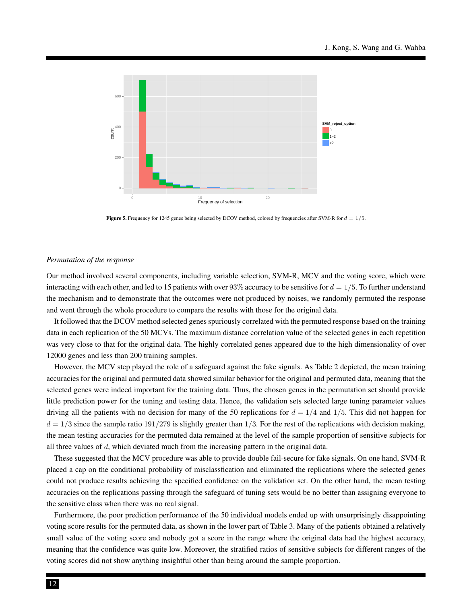

Figure 5. Frequency for 1245 genes being selected by DCOV method, colored by frequencies after SVM-R for  $d = 1/5$ .

#### *Permutation of the response*

Our method involved several components, including variable selection, SVM-R, MCV and the voting score, which were interacting with each other, and led to 15 patients with over 93% accuracy to be sensitive for  $d = 1/5$ . To further understand the mechanism and to demonstrate that the outcomes were not produced by noises, we randomly permuted the response and went through the whole procedure to compare the results with those for the original data.

It followed that the DCOV method selected genes spuriously correlated with the permuted response based on the training data in each replication of the 50 MCVs. The maximum distance correlation value of the selected genes in each repetition was very close to that for the original data. The highly correlated genes appeared due to the high dimensionality of over 12000 genes and less than 200 training samples.

However, the MCV step played the role of a safeguard against the fake signals. As Table 2 depicted, the mean training accuracies for the original and permuted data showed similar behavior for the original and permuted data, meaning that the selected genes were indeed important for the training data. Thus, the chosen genes in the permutation set should provide little prediction power for the tuning and testing data. Hence, the validation sets selected large tuning parameter values driving all the patients with no decision for many of the 50 replications for  $d = 1/4$  and  $1/5$ . This did not happen for  $d = 1/3$  since the sample ratio 191/279 is slightly greater than 1/3. For the rest of the replications with decision making, the mean testing accuracies for the permuted data remained at the level of the sample proportion of sensitive subjects for all three values of  $d$ , which deviated much from the increasing pattern in the original data.

These suggested that the MCV procedure was able to provide double fail-secure for fake signals. On one hand, SVM-R placed a cap on the conditional probability of misclassfication and eliminated the replications where the selected genes could not produce results achieving the specified confidence on the validation set. On the other hand, the mean testing accuracies on the replications passing through the safeguard of tuning sets would be no better than assigning everyone to the sensitive class when there was no real signal.

Furthermore, the poor prediction performance of the 50 individual models ended up with unsurprisingly disappointing voting score results for the permuted data, as shown in the lower part of Table 3. Many of the patients obtained a relatively small value of the voting score and nobody got a score in the range where the original data had the highest accuracy, meaning that the confidence was quite low. Moreover, the stratified ratios of sensitive subjects for different ranges of the voting scores did not show anything insightful other than being around the sample proportion.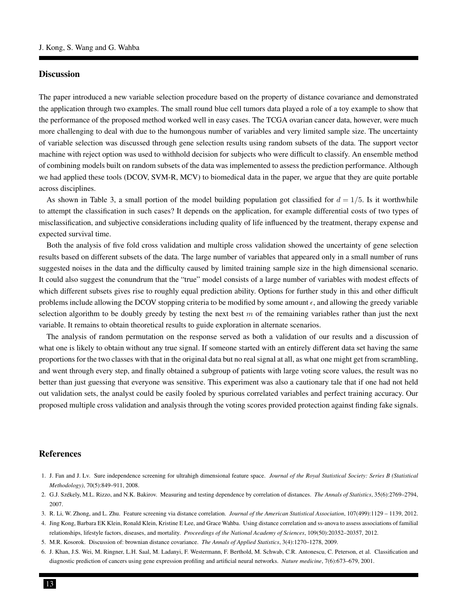#### **Discussion**

The paper introduced a new variable selection procedure based on the property of distance covariance and demonstrated the application through two examples. The small round blue cell tumors data played a role of a toy example to show that the performance of the proposed method worked well in easy cases. The TCGA ovarian cancer data, however, were much more challenging to deal with due to the humongous number of variables and very limited sample size. The uncertainty of variable selection was discussed through gene selection results using random subsets of the data. The support vector machine with reject option was used to withhold decision for subjects who were difficult to classify. An ensemble method of combining models built on random subsets of the data was implemented to assess the prediction performance. Although we had applied these tools (DCOV, SVM-R, MCV) to biomedical data in the paper, we argue that they are quite portable across disciplines.

As shown in Table 3, a small portion of the model building population got classified for  $d = 1/5$ . Is it worthwhile to attempt the classification in such cases? It depends on the application, for example differential costs of two types of misclassification, and subjective considerations including quality of life influenced by the treatment, therapy expense and expected survival time.

Both the analysis of five fold cross validation and multiple cross validation showed the uncertainty of gene selection results based on different subsets of the data. The large number of variables that appeared only in a small number of runs suggested noises in the data and the difficulty caused by limited training sample size in the high dimensional scenario. It could also suggest the conundrum that the "true" model consists of a large number of variables with modest effects of which different subsets gives rise to roughly equal prediction ability. Options for further study in this and other difficult problems include allowing the DCOV stopping criteria to be modified by some amount  $\epsilon$ , and allowing the greedy variable selection algorithm to be doubly greedy by testing the next best  $m$  of the remaining variables rather than just the next variable. It remains to obtain theoretical results to guide exploration in alternate scenarios.

The analysis of random permutation on the response served as both a validation of our results and a discussion of what one is likely to obtain without any true signal. If someone started with an entirely different data set having the same proportions for the two classes with that in the original data but no real signal at all, as what one might get from scrambling, and went through every step, and finally obtained a subgroup of patients with large voting score values, the result was no better than just guessing that everyone was sensitive. This experiment was also a cautionary tale that if one had not held out validation sets, the analyst could be easily fooled by spurious correlated variables and perfect training accuracy. Our proposed multiple cross validation and analysis through the voting scores provided protection against finding fake signals.

#### References

- 1. J. Fan and J. Lv. Sure independence screening for ultrahigh dimensional feature space. *Journal of the Royal Statistical Society: Series B (Statistical Methodology)*, 70(5):849–911, 2008.
- 2. G.J. Szekely, M.L. Rizzo, and N.K. Bakirov. Measuring and testing dependence by correlation of distances. ´ *The Annals of Statistics*, 35(6):2769–2794, 2007.
- 3. R. Li, W. Zhong, and L. Zhu. Feature screening via distance correlation. *Journal of the American Statistical Association*, 107(499):1129 1139, 2012.
- 4. Jing Kong, Barbara EK Klein, Ronald Klein, Kristine E Lee, and Grace Wahba. Using distance correlation and ss-anova to assess associations of familial relationships, lifestyle factors, diseases, and mortality. *Proceedings of the National Academy of Sciences*, 109(50):20352–20357, 2012.
- 5. M.R. Kosorok. Discussion of: brownian distance covariance. *The Annals of Applied Statistics*, 3(4):1270–1278, 2009.
- 6. J. Khan, J.S. Wei, M. Ringner, L.H. Saal, M. Ladanyi, F. Westermann, F. Berthold, M. Schwab, C.R. Antonescu, C. Peterson, et al. Classification and diagnostic prediction of cancers using gene expression profiling and artificial neural networks. *Nature medicine*, 7(6):673–679, 2001.